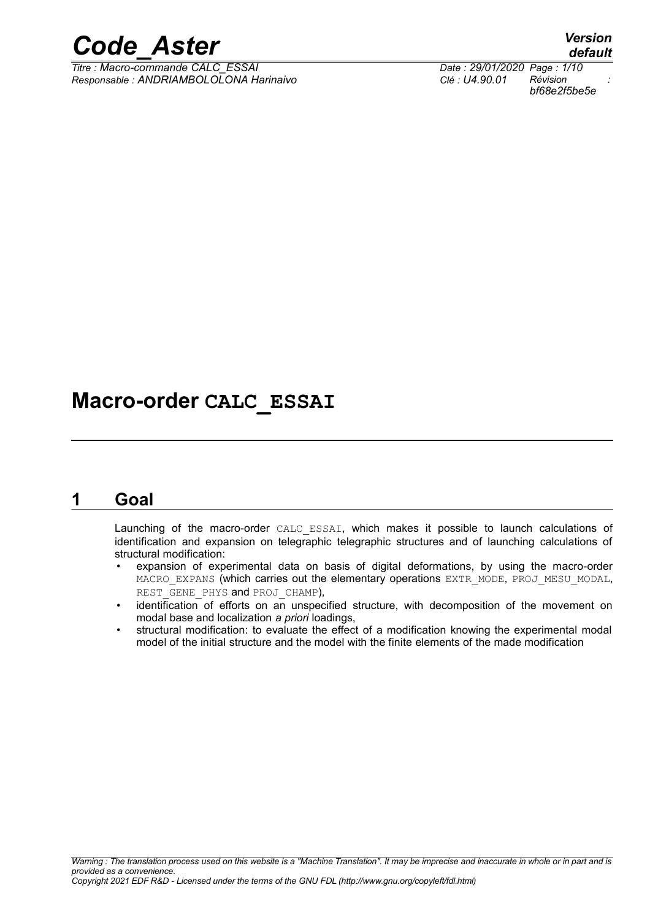

*Titre : Macro-commande CALC\_ESSAI Date : 29/01/2020 Page : 1/10 Responsable : ANDRIAMBOLOLONA Harinaivo Clé : U4.90.01 Révision :*

*default bf68e2f5be5e*

## **Macro-order CALC\_ESSAI**

### **1 Goal**

<span id="page-0-0"></span>Launching of the macro-order CALC\_ESSAI, which makes it possible to launch calculations of identification and expansion on telegraphic telegraphic structures and of launching calculations of structural modification:

- expansion of experimental data on basis of digital deformations, by using the macro-order MACRO EXPANS (which carries out the elementary operations EXTR\_MODE, PROJ\_MESU\_MODAL, REST GENE PHYS and PROJ CHAMP),
- identification of efforts on an unspecified structure, with decomposition of the movement on modal base and localization *a priori* loadings,
- structural modification: to evaluate the effect of a modification knowing the experimental modal model of the initial structure and the model with the finite elements of the made modification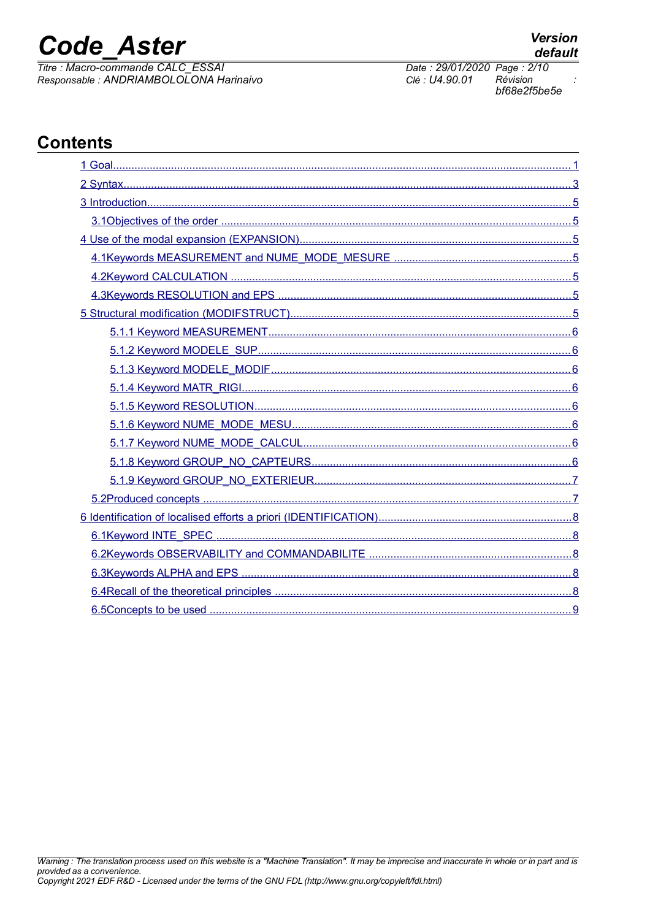## **Code Aster**

Titre : Macro-commande CALC\_ESSAI Responsable : ANDRIAMBOLOLONA Harinaivo

Révision

Date: 29/01/2020 Page: 2/10

Clé : U4.90.01

## **Contents**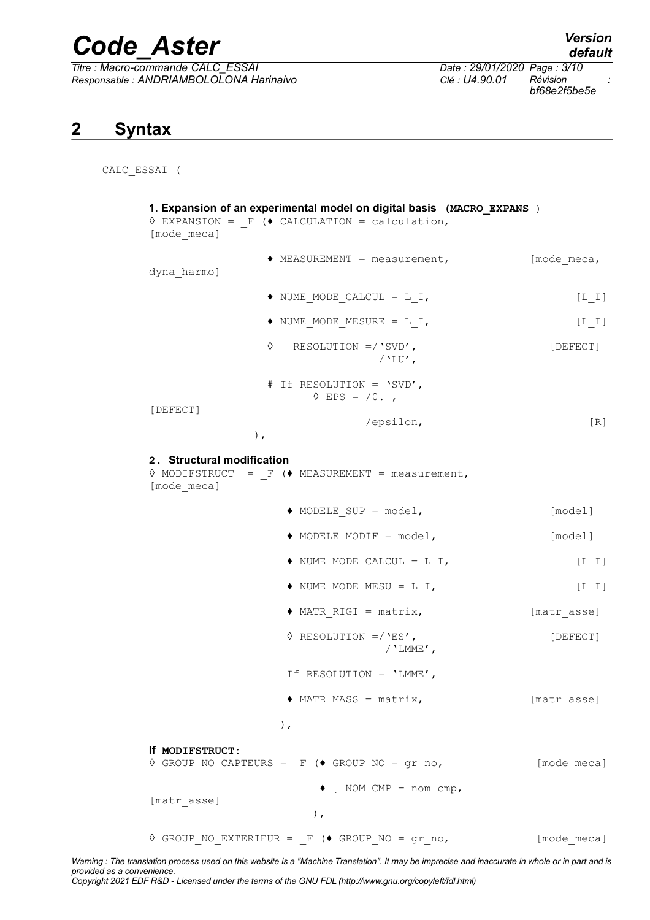*Titre : Macro-commande CALC\_ESSAI Date : 29/01/2020 Page : 3/10 Responsable : ANDRIAMBOLOLONA Harinaivo Clé : U4.90.01 Révision :*

*bf68e2f5be5e*

## <span id="page-2-0"></span>**2 Syntax**

CALC\_ESSAI (

| [mode meca]                               | 1. Expansion of an experimental model on digital basis (MACRO EXPANS)<br>$\Diamond$ EXPANSION = F ( $\Diamond$ CALCULATION = calculation, |             |
|-------------------------------------------|-------------------------------------------------------------------------------------------------------------------------------------------|-------------|
| dyna harmo]                               | $\triangleleft$ MEASUREMENT = measurement,                                                                                                | [mode meca, |
|                                           | $\blacklozenge$ NUME MODE CALCUL = L I,                                                                                                   | $[L_I]$     |
|                                           | $\blacklozenge$ NUME MODE MESURE = L I,                                                                                                   | $[L_I]$     |
| ♦                                         | RESOLUTION $=$ /'SVD',<br>$/$ 'LU',                                                                                                       | [DEFECT]    |
|                                           | # If RESOLUTION = 'SVD',<br>$\lozenge$ EPS = $/0.$ ,                                                                                      |             |
| [DEFECT]<br>$)$ ,                         | /epsilon,                                                                                                                                 | [R]         |
| 2. Structural modification<br>[mode meca] | $\Diamond$ MODIFSTRUCT = F ( $\blacklozenge$ MEASUREMENT = measurement,                                                                   |             |
|                                           | $\blacklozenge$ MODELE SUP = model,                                                                                                       | [model]     |
|                                           | $\blacklozenge$ MODELE MODIF = model,                                                                                                     | [model]     |
|                                           | $\bullet$ NUME_MODE_CALCUL = L_I,                                                                                                         | $[L I]$     |
|                                           | $\blacklozenge$ NUME MODE MESU = L I,                                                                                                     | $[L I]$     |
|                                           | $\triangle$ MATR RIGI = matrix,                                                                                                           | [matr asse] |
|                                           | $\Diamond$ RESOLUTION =/'ES',<br>/ $'$ LMME',                                                                                             | [DEFECT]    |
|                                           | If RESOLUTION = 'LMME',                                                                                                                   |             |
|                                           | $\triangle$ MATR MASS = matrix,                                                                                                           | [matr asse] |
|                                           | $\,$ ,                                                                                                                                    |             |
| If MODIFSTRUCT:                           | $\Diamond$ GROUP NO CAPTEURS = $_F$ ( $\Diamond$ GROUP NO = gr_no,                                                                        | [mode meca] |
| [matr asse]                               | $\bullet$ . NOM CMP = nom cmp,<br>$)$ ,                                                                                                   |             |
|                                           | $\Diamond$ GROUP NO EXTERIEUR = $_F$ ( $\Diamond$ GROUP NO = gr_no,                                                                       | [mode meca] |

*Warning : The translation process used on this website is a "Machine Translation". It may be imprecise and inaccurate in whole or in part and is provided as a convenience.*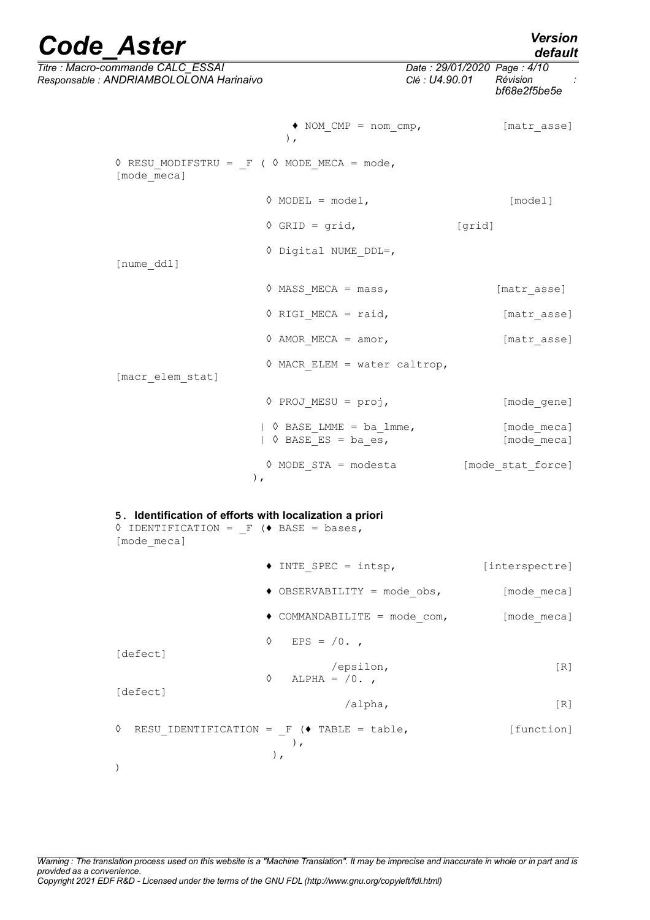| <b>Code Aster</b>                                                                                                                       |                                                                                     |                                               | <b>Version</b><br>default  |
|-----------------------------------------------------------------------------------------------------------------------------------------|-------------------------------------------------------------------------------------|-----------------------------------------------|----------------------------|
| Titre : Macro-commande CALC ESSAI<br>Responsable : ANDRIAMBOLOLONA Harinaivo                                                            |                                                                                     | Date: 29/01/2020 Page: 4/10<br>Clé : U4.90.01 | Révision<br>bf68e2f5be5e   |
|                                                                                                                                         | $\bullet$ NOM CMP = nom cmp,<br>$\,$ ,                                              |                                               | [matr asse]                |
| $\Diamond$ RESU MODIFSTRU = F ( $\Diamond$ MODE MECA = mode,<br>[mode meca]                                                             |                                                                                     |                                               |                            |
|                                                                                                                                         | $\Diamond$ MODEL = model,                                                           |                                               | [model]                    |
|                                                                                                                                         | $\Diamond$ GRID = grid,                                                             | [grid]                                        |                            |
| [nume ddl]                                                                                                                              | $\Diamond$ Digital NUME DDL=,                                                       |                                               |                            |
|                                                                                                                                         | $\Diamond$ MASS MECA = mass,                                                        |                                               | [matr asse]                |
|                                                                                                                                         | $\Diamond$ RIGI MECA = raid,                                                        |                                               | [matr asse]                |
|                                                                                                                                         | $\Diamond$ AMOR MECA = amor,                                                        |                                               | [matr asse]                |
| [macr elem stat]                                                                                                                        | $\Diamond$ MACR ELEM = water caltrop,                                               |                                               |                            |
|                                                                                                                                         | $\Diamond$ PROJ MESU = proj,                                                        |                                               | [mode gene]                |
|                                                                                                                                         | $\vert \diamondsuit$ BASE LMME = ba lmme,<br>$\vert \circ \rangle$ BASE ES = ba es, |                                               | [mode meca]<br>[mode meca] |
|                                                                                                                                         | $\Diamond$ MODE STA = modesta<br>$)$ ,                                              |                                               | [mode stat force]          |
| 5. Identification of efforts with localization a priori<br>$\Diamond$ IDENTIFICATION = F ( $\blacklozenge$ BASE = bases,<br>[mode meca] |                                                                                     |                                               |                            |
|                                                                                                                                         | $\triangle$ INTE_SPEC = intsp,                                                      |                                               | [interspectre]             |
|                                                                                                                                         | $\bullet$ OBSERVABILITY = mode obs,                                                 |                                               | [mode meca]                |
|                                                                                                                                         | $\bullet$ COMMANDABILITE = $mode_{com}$ ,                                           |                                               | [mode_meca]                |
|                                                                                                                                         | ♦<br>EPS = $/0.$                                                                    |                                               |                            |
| [defect]                                                                                                                                | /epsilon,<br>♦<br>ALPHA = $/0.$                                                     |                                               | [R]                        |
| [defect]                                                                                                                                | /alpha,                                                                             |                                               | [R]                        |
| ♦                                                                                                                                       | RESU_IDENTIFICATION = $_F$ ( $\bullet$ TABLE = table,<br>$\rightarrow$              |                                               | [function]                 |
| $\mathcal{C}$                                                                                                                           | ),                                                                                  |                                               |                            |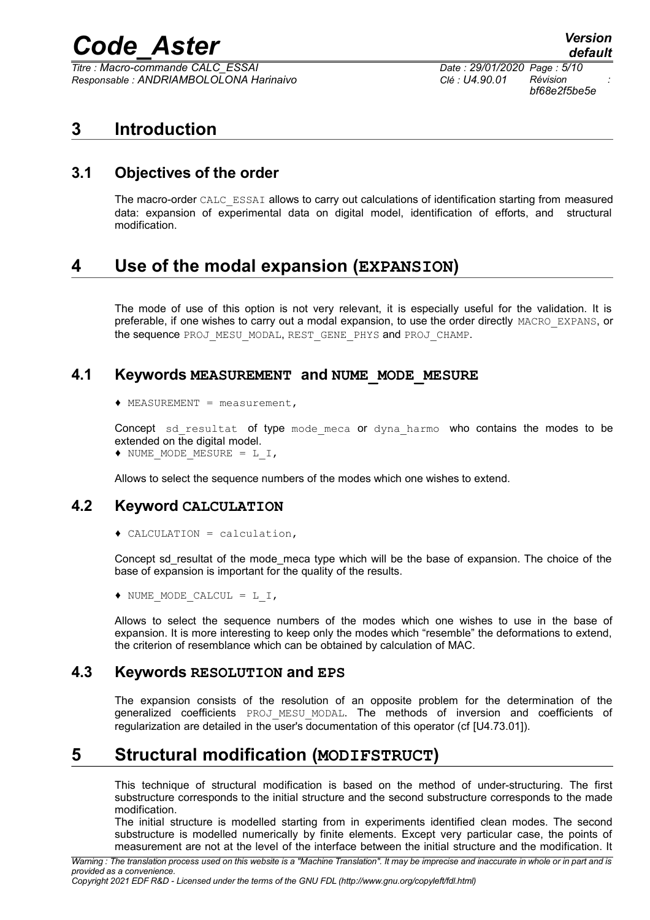$T$ *itre : Macro-commande CALC\_ESSAI Responsable : ANDRIAMBOLOLONA Harinaivo Clé : U4.90.01 Révision :*

*bf68e2f5be5e*

## <span id="page-4-6"></span>**3 Introduction**

### **3.1 Objectives of the order**

<span id="page-4-5"></span>The macro-order CALC\_ESSAI allows to carry out calculations of identification starting from measured data: expansion of experimental data on digital model, identification of efforts, and structural modification.

## <span id="page-4-4"></span>**4 Use of the modal expansion (EXPANSION)**

The mode of use of this option is not very relevant, it is especially useful for the validation. It is preferable, if one wishes to carry out a modal expansion, to use the order directly MACRO\_EXPANS, or the sequence PROJ\_MESU\_MODAL, REST\_GENE\_PHYS and PROJ\_CHAMP.

#### **4.1 Keywords MEASUREMENT and NUME\_MODE\_MESURE**

<span id="page-4-3"></span>♦ MEASUREMENT = measurement,

Concept sd resultat of type mode meca or dyna harmo who contains the modes to be extended on the digital model.

♦ NUME\_MODE\_MESURE = L\_I,

<span id="page-4-2"></span>Allows to select the sequence numbers of the modes which one wishes to extend.

#### **4.2 Keyword CALCULATION**

♦ CALCULATION = calculation,

Concept sd\_resultat of the mode\_meca type which will be the base of expansion. The choice of the base of expansion is important for the quality of the results.

♦ NUME\_MODE\_CALCUL = L\_I,

Allows to select the sequence numbers of the modes which one wishes to use in the base of expansion. It is more interesting to keep only the modes which "resemble" the deformations to extend, the criterion of resemblance which can be obtained by calculation of MAC.

#### **4.3 Keywords RESOLUTION and EPS**

<span id="page-4-1"></span>The expansion consists of the resolution of an opposite problem for the determination of the generalized coefficients PROJ\_MESU\_MODAL. The methods of inversion and coefficients of regularization are detailed in the user's documentation of this operator (cf [U4.73.01]).

### **5 Structural modification (MODIFSTRUCT)**

<span id="page-4-0"></span>This technique of structural modification is based on the method of under-structuring. The first substructure corresponds to the initial structure and the second substructure corresponds to the made modification.

The initial structure is modelled starting from in experiments identified clean modes. The second substructure is modelled numerically by finite elements. Except very particular case, the points of measurement are not at the level of the interface between the initial structure and the modification. It

*Copyright 2021 EDF R&D - Licensed under the terms of the GNU FDL (http://www.gnu.org/copyleft/fdl.html)*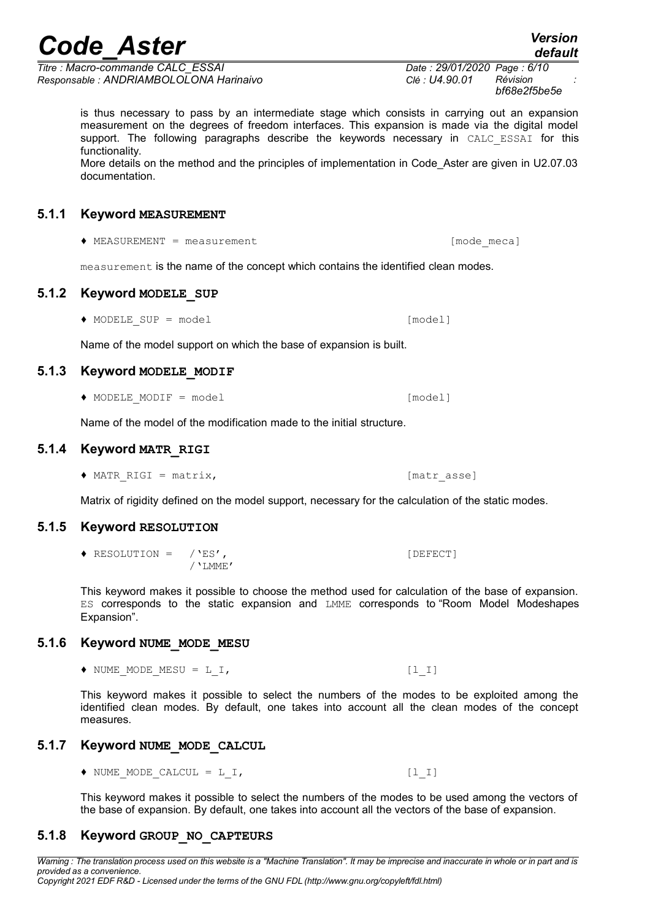*Titre : Macro-commande CALC\_ESSAI Date : 29/01/2020 Page : 6/10 Responsable : ANDRIAMBOLOLONA Harinaivo Clé : U4.90.01 Révision :*

*bf68e2f5be5e*

is thus necessary to pass by an intermediate stage which consists in carrying out an expansion measurement on the degrees of freedom interfaces. This expansion is made via the digital model support. The following paragraphs describe the keywords necessary in CALC ESSAI for this functionality.

More details on the method and the principles of implementation in Code\_Aster are given in U2.07.03 documentation.

#### **5.1.1 Keyword MEASUREMENT**

<span id="page-5-7"></span>♦ MEASUREMENT = measurement [mode\_meca]

<span id="page-5-6"></span>measurement is the name of the concept which contains the identified clean modes.

#### **5.1.2 Keyword MODELE\_SUP**

♦ MODELE\_SUP = model [model]

<span id="page-5-5"></span>Name of the model support on which the base of expansion is built.

#### **5.1.3 Keyword MODELE\_MODIF**

♦ MODELE\_MODIF = model [model]

<span id="page-5-4"></span>Name of the model of the modification made to the initial structure.

#### **5.1.4 Keyword MATR\_RIGI**

◆ MATR RIGI = matrix, [matr asse]

<span id="page-5-3"></span>Matrix of rigidity defined on the model support, necessary for the calculation of the static modes.

#### **5.1.5 Keyword RESOLUTION**

♦ RESOLUTION = /'ES', [DEFECT] /'LMME'

<span id="page-5-1"></span> $\blacklozenge$  NUME MODE CALCUL = L I,  $[l\ 1]$ 

This keyword makes it possible to choose the method used for calculation of the base of expansion. ES corresponds to the static expansion and LMME corresponds to "Room Model Modeshapes Expansion".

#### **5.1.6 Keyword NUME\_MODE\_MESU**

<span id="page-5-2"></span> $\blacklozenge$  NUME MODE MESU = L I,  $[l\ 1]$ 

This keyword makes it possible to select the numbers of the modes to be exploited among the identified clean modes. By default, one takes into account all the clean modes of the concept measures.

#### **5.1.7 Keyword NUME\_MODE\_CALCUL**

This keyword makes it possible to select the numbers of the modes to be used among the vectors of the base of expansion. By default, one takes into account all the vectors of the base of expansion.

#### <span id="page-5-0"></span>**5.1.8 Keyword GROUP\_NO\_CAPTEURS**



*default*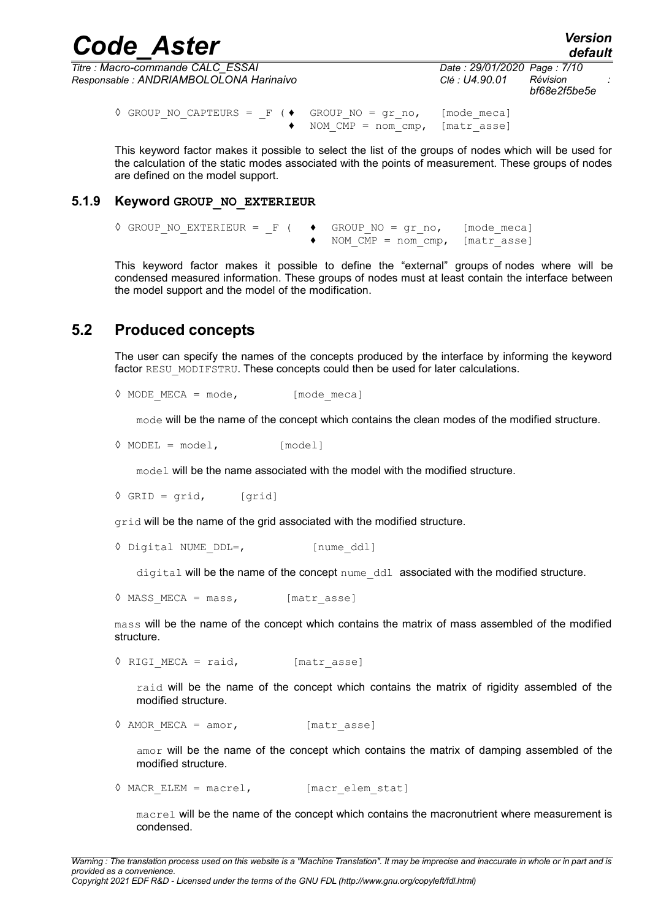|                | <b>Version</b><br>default |                                             |
|----------------|---------------------------|---------------------------------------------|
| Clé : U4.90.01 | Révision                  |                                             |
|                |                           | Date: 29/01/2020 Page: 7/10<br>bf68e2f5be5e |

```
\Diamond GROUP NO CAPTEURS = F ( \blacklozenge GROUP NO = gr_no, [mode_meca]
                         \bullet NOM \overline{MP} = nom \overline{cmp}, [matr asse]
```
This keyword factor makes it possible to select the list of the groups of nodes which will be used for the calculation of the static modes associated with the points of measurement. These groups of nodes are defined on the model support.

#### **5.1.9 Keyword GROUP\_NO\_EXTERIEUR**

<span id="page-6-1"></span> $\Diamond$  GROUP\_NO\_EXTERIEUR = \_F (  $\blacklozenge$  GROUP\_NO = gr\_no, [mode\_meca] ♦ NOM\_CMP = nom\_cmp, [matr\_asse]

This keyword factor makes it possible to define the "external" groups of nodes where will be condensed measured information. These groups of nodes must at least contain the interface between the model support and the model of the modification.

#### **5.2 Produced concepts**

<span id="page-6-0"></span>The user can specify the names of the concepts produced by the interface by informing the keyword factor RESU\_MODIFSTRU. These concepts could then be used for later calculations.

 $\Diamond$  MODE MECA = mode, [mode meca]

mode will be the name of the concept which contains the clean modes of the modified structure.

 $\Diamond$  MODEL = model,  $[model]$ 

model will be the name associated with the model with the modified structure.

 $\Diamond$  GRID = grid, [grid]

grid will be the name of the grid associated with the modified structure.

```
◊ Digital NUME_DDL=, [nume_ddl]
```
digital will be the name of the concept nume\_ddl associated with the modified structure.

```
\Diamond MASS MECA = mass, [matr_asse]
```
mass will be the name of the concept which contains the matrix of mass assembled of the modified structure.

```
\sqrt{RIGI MECA} = raid, [matr asse]
```
raid will be the name of the concept which contains the matrix of rigidity assembled of the modified structure.

```
\Diamond AMOR MECA = amor, [matr asse]
```
amor will be the name of the concept which contains the matrix of damping assembled of the modified structure.

 $\Diamond$  MACR ELEM = macrel, [macr elem stat]

macrel will be the name of the concept which contains the macronutrient where measurement is condensed.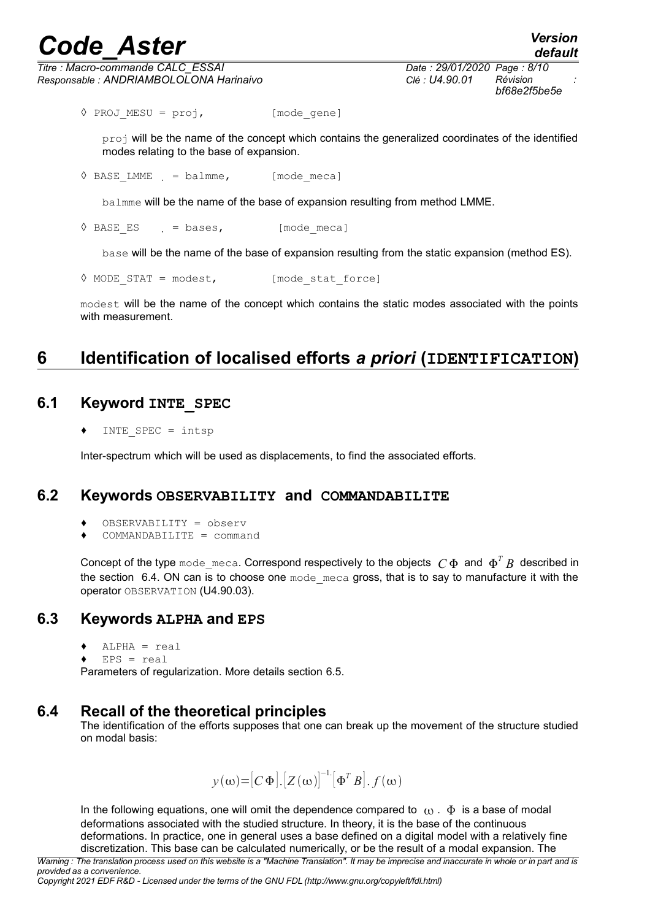*Titre : Macro-commande CALC\_ESSAI Date : 29/01/2020 Page : 8/10 Responsable : ANDRIAMBOLOLONA Harinaivo Clé : U4.90.01 Révision :*

*bf68e2f5be5e*

◊ PROJ\_MESU = proj, [mode\_gene]

proj will be the name of the concept which contains the generalized coordinates of the identified modes relating to the base of expansion.

 $\Diamond$  BASE LMME = balmme, [mode meca]

balmme will be the name of the base of expansion resulting from method LMME.

 $\sqrt[6]{}$  BASE ES = bases, [mode\_meca]

base will be the name of the base of expansion resulting from the static expansion (method ES).

```
\Diamond MODE STAT = modest, [mode stat force]
```
modest will be the name of the concept which contains the static modes associated with the points with measurement.

## <span id="page-7-4"></span>**6 Identification of localised efforts** *a priori* **(IDENTIFICATION)**

### **6.1 Keyword INTE\_SPEC**

<span id="page-7-3"></span>INTE SPEC =  $intsp$ 

Inter-spectrum which will be used as displacements, to find the associated efforts.

#### **6.2 Keywords OBSERVABILITY and COMMANDABILITE**

- <span id="page-7-2"></span>♦ OBSERVABILITY = observ
- $COMMANDABILITY = command$

Concept of the type  $\text{mode\_meca.}$  Correspond respectively to the objects  $\ C\ \Phi$  and  $\ \Phi^T\ B$  described in the section [6.4.](#page-7-0) ON can is to choose one mode meca gross, that is to say to manufacture it with the operator OBSERVATION (U4.90.03).

#### **6.3 Keywords ALPHA and EPS**

- <span id="page-7-1"></span> $\triangleleft$  ALPHA = real
- $EPS = real$

Parameters of regularization. More details section [6.5.](#page-8-0)

#### **6.4 Recall of the theoretical principles**

<span id="page-7-0"></span>The identification of the efforts supposes that one can break up the movement of the structure studied on modal basis:

$$
y(\omega) = [C \Phi] . [Z(\omega)]^{-1} [\Phi^T B] . f(\omega)
$$

In the following equations, one will omit the dependence compared to  $\omega$ .  $\Phi$  is a base of modal deformations associated with the studied structure. In theory, it is the base of the continuous deformations. In practice, one in general uses a base defined on a digital model with a relatively fine discretization. This base can be calculated numerically, or be the result of a modal expansion. The

*Copyright 2021 EDF R&D - Licensed under the terms of the GNU FDL (http://www.gnu.org/copyleft/fdl.html)*

*Warning : The translation process used on this website is a "Machine Translation". It may be imprecise and inaccurate in whole or in part and is provided as a convenience.*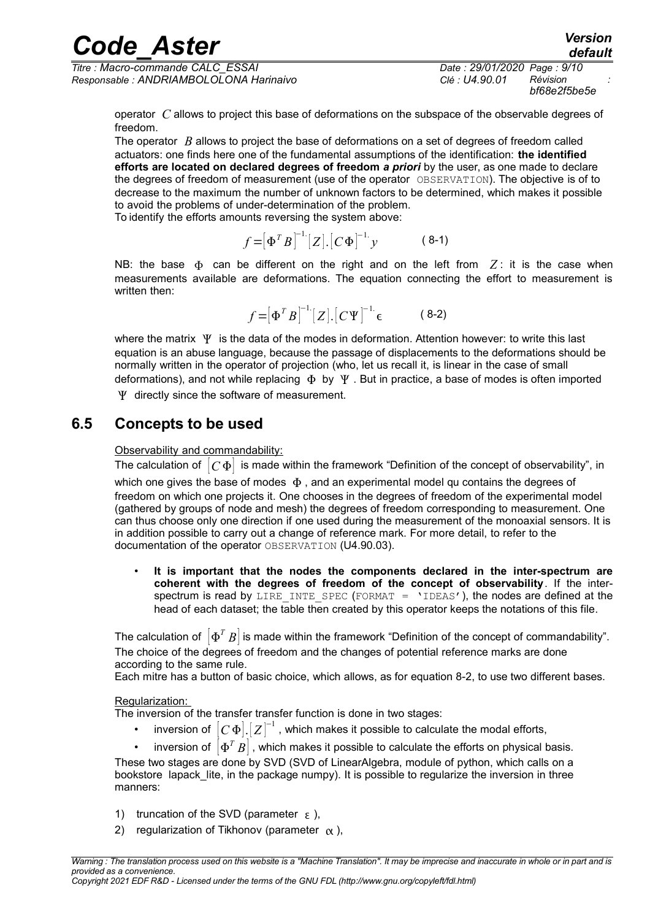*Titre : Macro-commande CALC\_ESSAI Date : 29/01/2020 Page : 9/10 Responsable : ANDRIAMBOLOLONA Harinaivo Clé : U4.90.01 Révision :*

*bf68e2f5be5e*

*default*

operator *C* allows to project this base of deformations on the subspace of the observable degrees of freedom.

The operator *B* allows to project the base of deformations on a set of degrees of freedom called actuators: one finds here one of the fundamental assumptions of the identification: **the identified efforts are located on declared degrees of freedom** *a priori* by the user, as one made to declare the degrees of freedom of measurement (use of the operator OBSERVATION). The objective is of to decrease to the maximum the number of unknown factors to be determined, which makes it possible to avoid the problems of under-determination of the problem. To identify the efforts amounts reversing the system above:

> $f = [\Phi^T B]^{-1} [Z] . [C \Phi]^{-1}$ . *y*( 8-1)

NB: the base  $\Phi$  can be different on the right and on the left from  $Z$ : it is the case when measurements available are deformations. The equation connecting the effort to measurement is written then:

> $f = [\Phi^T B]^{-1} [Z] . [C \Psi]^{-1}$ . ( 8-2)

where the matrix  $\Psi$  is the data of the modes in deformation. Attention however: to write this last equation is an abuse language, because the passage of displacements to the deformations should be normally written in the operator of projection (who, let us recall it, is linear in the case of small deformations), and not while replacing  $\Phi$  by  $\Psi$ . But in practice, a base of modes is often imported

<span id="page-8-0"></span> $\Psi$  directly since the software of measurement.

#### **6.5 Concepts to be used**

Observability and commandability:

The calculation of  $|C\Phi|$  is made within the framework "Definition of the concept of observability", in which one gives the base of modes  $\Phi$ , and an experimental model qu contains the degrees of freedom on which one projects it. One chooses in the degrees of freedom of the experimental model (gathered by groups of node and mesh) the degrees of freedom corresponding to measurement. One can thus choose only one direction if one used during the measurement of the monoaxial sensors. It is in addition possible to carry out a change of reference mark. For more detail, to refer to the documentation of the operator OBSERVATION (U4.90.03).

• **It is important that the nodes the components declared in the inter-spectrum are coherent with the degrees of freedom of the concept of observability**. If the interspectrum is read by LIRE\_INTE\_SPEC (FORMAT = 'IDEAS'), the nodes are defined at the head of each dataset; the table then created by this operator keeps the notations of this file.

The calculation of  $\left\vert \Phi^{T}B\right\vert$  is made within the framework "Definition of the concept of commandability". The choice of the degrees of freedom and the changes of potential reference marks are done according to the same rule.

Each mitre has a button of basic choice, which allows, as for equation 8-2, to use two different bases.

#### Regularization:

The inversion of the transfer transfer function is done in two stages:

 $\bm{\cdot}$   $\;$  inversion of  $\; [C\, \Phi] . \; [Z\, ]^{-1}$  , which makes it possible to calculate the modal efforts,

•  $\;$  inversion of  $\left[ \Phi ^{T}B\right]$  , which makes it possible to calculate the efforts on physical basis. These two stages are done by SVD (SVD of LinearAlgebra, module of python, which calls on a bookstore lapack lite, in the package numpy). It is possible to regularize the inversion in three manners:

- 1) truncation of the SVD (parameter  $\epsilon$ ),
- 2) regularization of Tikhonov (parameter  $\alpha$ ),